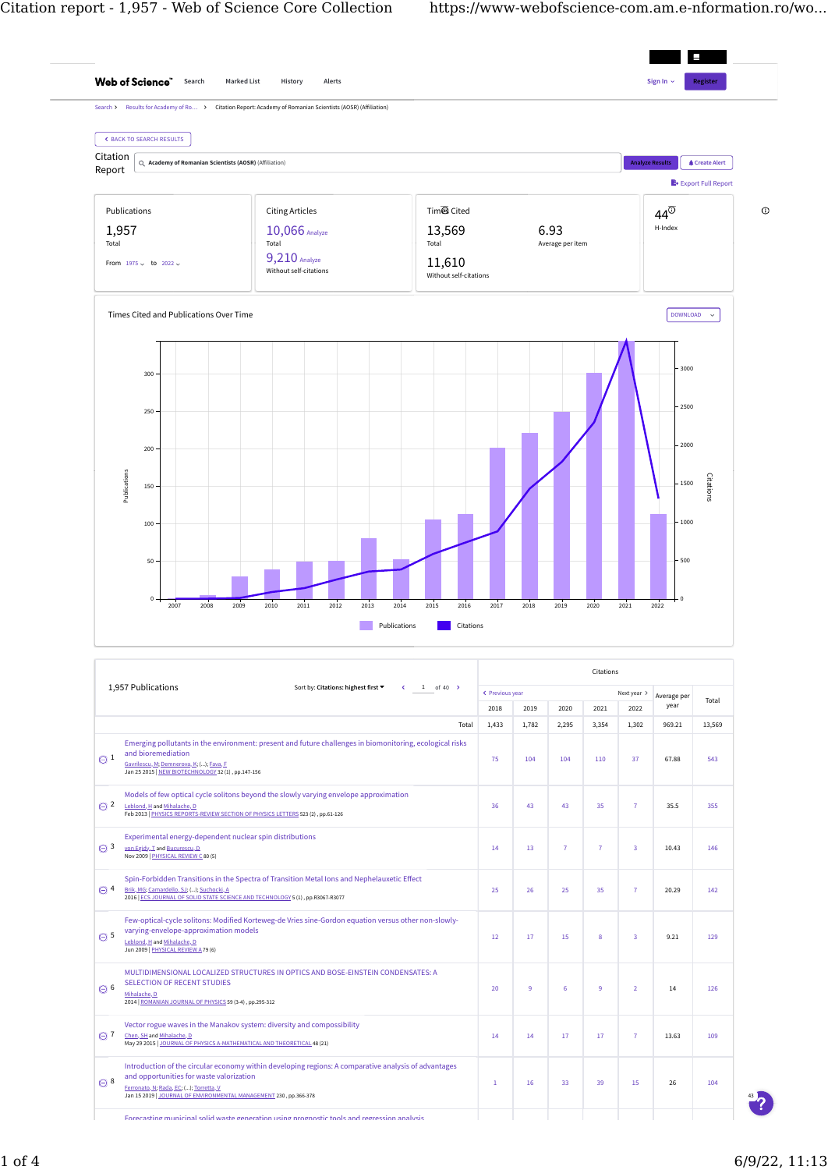

[12](https://www-webofscience-com.am.e-nformation.ro/wos/woscc/citing-summary/457140587?type=refid&refines=%5B%7B%22index%22:%22PY%22,%22value%22:%5B%222018%22%5D%7D%5D) [17](https://www-webofscience-com.am.e-nformation.ro/wos/woscc/citing-summary/457140587?type=refid&refines=%5B%7B%22index%22:%22PY%22,%22value%22:%5B%222019%22%5D%7D%5D) [15](https://www-webofscience-com.am.e-nformation.ro/wos/woscc/citing-summary/457140587?type=refid&refines=%5B%7B%22index%22:%22PY%22,%22value%22:%5B%222020%22%5D%7D%5D) [8](https://www-webofscience-com.am.e-nformation.ro/wos/woscc/citing-summary/457140587?type=refid&refines=%5B%7B%22index%22:%22PY%22,%22value%22:%5B%222021%22%5D%7D%5D) [3](https://www-webofscience-com.am.e-nformation.ro/wos/woscc/citing-summary/457140587?type=refid&refines=%5B%7B%22index%22:%22PY%22,%22value%22:%5B%222022%22%5D%7D%5D) 9.21 [129](https://www-webofscience-com.am.e-nformation.ro/wos/woscc/citing-summary/457140587?type=refid)

[20](https://www-webofscience-com.am.e-nformation.ro/wos/woscc/citing-summary/470578551?type=refid&refines=%5B%7B%22index%22:%22PY%22,%22value%22:%5B%222018%22%5D%7D%5D) [9](https://www-webofscience-com.am.e-nformation.ro/wos/woscc/citing-summary/470578551?type=refid&refines=%5B%7B%22index%22:%22PY%22,%22value%22:%5B%222019%22%5D%7D%5D) [6](https://www-webofscience-com.am.e-nformation.ro/wos/woscc/citing-summary/470578551?type=refid&refines=%5B%7B%22index%22:%22PY%22,%22value%22:%5B%222020%22%5D%7D%5D) [9](https://www-webofscience-com.am.e-nformation.ro/wos/woscc/citing-summary/470578551?type=refid&refines=%5B%7B%22index%22:%22PY%22,%22value%22:%5B%222021%22%5D%7D%5D) [2](https://www-webofscience-com.am.e-nformation.ro/wos/woscc/citing-summary/470578551?type=refid&refines=%5B%7B%22index%22:%22PY%22,%22value%22:%5B%222022%22%5D%7D%5D) 14 [126](https://www-webofscience-com.am.e-nformation.ro/wos/woscc/citing-summary/470578551?type=refid)

[14](https://www-webofscience-com.am.e-nformation.ro/wos/woscc/citing-summary/487401396?type=refid&refines=%5B%7B%22index%22:%22PY%22,%22value%22:%5B%222018%22%5D%7D%5D) [14](https://www-webofscience-com.am.e-nformation.ro/wos/woscc/citing-summary/487401396?type=refid&refines=%5B%7B%22index%22:%22PY%22,%22value%22:%5B%222019%22%5D%7D%5D) [17](https://www-webofscience-com.am.e-nformation.ro/wos/woscc/citing-summary/487401396?type=refid&refines=%5B%7B%22index%22:%22PY%22,%22value%22:%5B%222020%22%5D%7D%5D) [17](https://www-webofscience-com.am.e-nformation.ro/wos/woscc/citing-summary/487401396?type=refid&refines=%5B%7B%22index%22:%22PY%22,%22value%22:%5B%222021%22%5D%7D%5D) [7](https://www-webofscience-com.am.e-nformation.ro/wos/woscc/citing-summary/487401396?type=refid&refines=%5B%7B%22index%22:%22PY%22,%22value%22:%5B%222022%22%5D%7D%5D) 13.63 [109](https://www-webofscience-com.am.e-nformation.ro/wos/woscc/citing-summary/487401396?type=refid)

[1](https://www-webofscience-com.am.e-nformation.ro/wos/woscc/citing-summary/569184255?type=refid&refines=%5B%7B%22index%22:%22PY%22,%22value%22:%5B%222018%22%5D%7D%5D) [16](https://www-webofscience-com.am.e-nformation.ro/wos/woscc/citing-summary/569184255?type=refid&refines=%5B%7B%22index%22:%22PY%22,%22value%22:%5B%222019%22%5D%7D%5D) [33](https://www-webofscience-com.am.e-nformation.ro/wos/woscc/citing-summary/569184255?type=refid&refines=%5B%7B%22index%22:%22PY%22,%22value%22:%5B%222020%22%5D%7D%5D) [39](https://www-webofscience-com.am.e-nformation.ro/wos/woscc/citing-summary/569184255?type=refid&refines=%5B%7B%22index%22:%22PY%22,%22value%22:%5B%222021%22%5D%7D%5D) [15](https://www-webofscience-com.am.e-nformation.ro/wos/woscc/citing-summary/569184255?type=refid&refines=%5B%7B%22index%22:%22PY%22,%22value%22:%5B%222022%22%5D%7D%5D) 26 [104](https://www-webofscience-com.am.e-nformation.ro/wos/woscc/citing-summary/569184255?type=refid)

[MULTIDIMENSIONAL LOCALIZED STRUCTURES IN OPTICS AND BOSE-EINSTEIN CONDENSATES: A](https://www-webofscience-com.am.e-nformation.ro/wos/woscc/full-record/WOS:000335206000011)

[Introduction of the circular economy within developing regions: A comparative analysis of advantages](https://www-webofscience-com.am.e-nformation.ro/wos/woscc/full-record/WOS:000452582600035)

 $\odot$  5

 $\Theta$  6

 $\odot$  7

 $\odot$  8

[Mihalache, D](https://www-webofscience-com.am.e-nformation.ro/wos/author/record/50513)<br>2014 | <u>ROMAN</u>

[varying-envelope-approximation models](https://www-webofscience-com.am.e-nformation.ro/wos/woscc/full-record/WOS:000267700100185) <u>Leblond, H</u> and <u>Mihalache, D</u><br>Jun 2009 | <u>PHYSICAL REVIEW A</u> 79 (6)

[and opportunities for waste valorization](https://www-webofscience-com.am.e-nformation.ro/wos/woscc/full-record/WOS:000452582600035)

2012 AN JOURNAL OF PHYSICS 59 (3-4) , pp.295-312

<u>[Ferronato, N;](https://www-webofscience-com.am.e-nformation.ro/wos/author/record/5824219) [Rada, EC;](https://www-webofscience-com.am.e-nformation.ro/wos/author/record/365296)</u> (...); <u>Torretta, V</u><br>Jan 15 2019 | <u>JOURNAL OF ENVIRONMENTAL MANAGEMENT</u> 230 , pp.366-378

[Vector rogue waves in the Manakov system: diversity and compossibility](https://www-webofscience-com.am.e-nformation.ro/wos/woscc/full-record/WOS:000354390700002) [Chen, SH](https://www-webofscience-com.am.e-nformation.ro/wos/author/record/1119471) and [Mihalache, D](https://www-webofscience-com.am.e-nformation.ro/wos/author/record/50513) May 29 2015 [| JOURNAL OF PHYSICS A-MATHEMATICAL AND THEORETICAL](javascript:void(0)) 48 (21)

[SELECTION OF RECENT STUDIES](https://www-webofscience-com.am.e-nformation.ro/wos/woscc/full-record/WOS:000335206000011)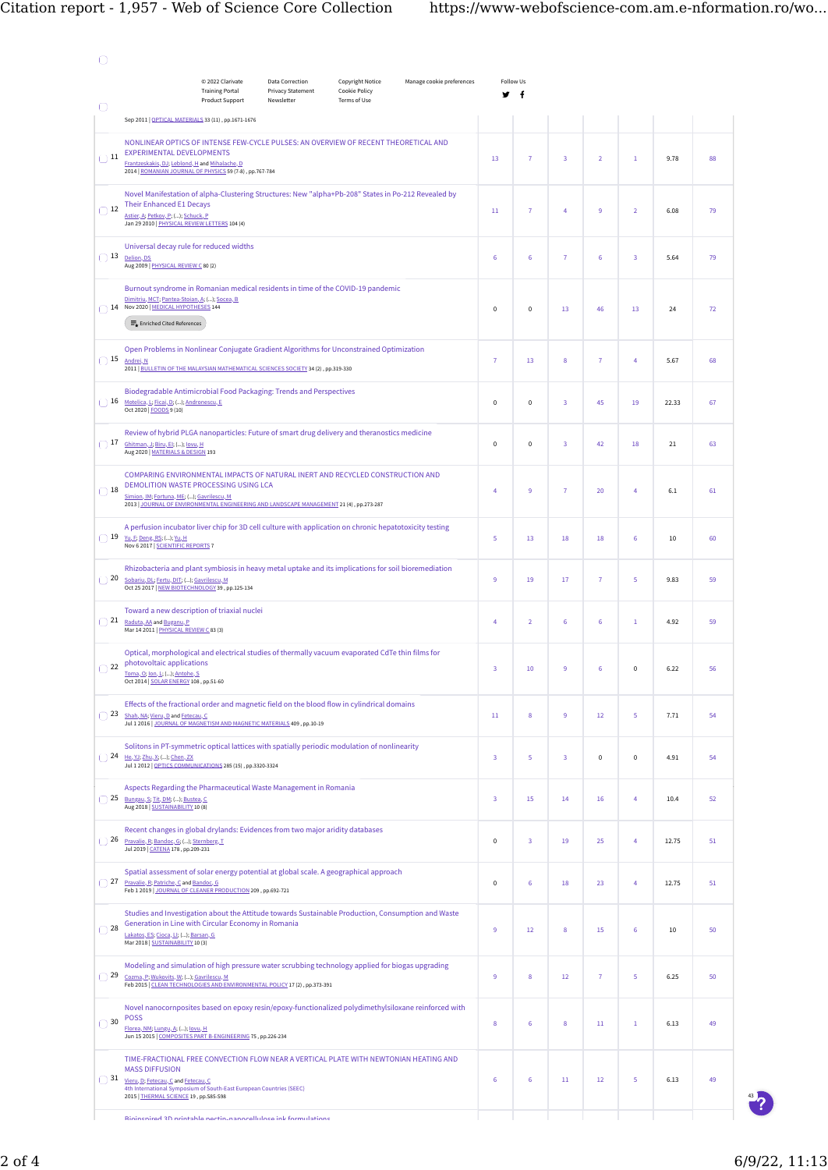|                | © 2022 Clarivate<br><b>Training Portal</b><br>Product Support                                                                                                                                                                                                         | <b>Data Correction</b><br><b>Copyright Notice</b><br>Manage cookie preferences<br>Privacy Statement<br>Cookie Policy<br>Newsletter<br>Terms of Use |  | Follow Us<br>f<br>v |   |                |                |                |                |       |    |
|----------------|-----------------------------------------------------------------------------------------------------------------------------------------------------------------------------------------------------------------------------------------------------------------------|----------------------------------------------------------------------------------------------------------------------------------------------------|--|---------------------|---|----------------|----------------|----------------|----------------|-------|----|
| O              | Sep 2011   OPTICAL MATERIALS 33 (11), pp.1671-1676                                                                                                                                                                                                                    |                                                                                                                                                    |  |                     |   |                |                |                |                |       |    |
| $\bigcirc$ 11  | NONLINEAR OPTICS OF INTENSE FEW-CYCLE PULSES: AN OVERVIEW OF RECENT THEORETICAL AND<br><b>EXPERIMENTAL DEVELOPMENTS</b><br>Frantzeskakis, DJ; Leblond, H and Mihalache, D<br>2014   ROMANIAN JOURNAL OF PHYSICS 59 (7-8), pp.767-784                                  |                                                                                                                                                    |  |                     |   | $\overline{7}$ | 3              | $\overline{2}$ | $\,1$          | 9.78  | 88 |
| $\bigcirc$ 12  | Novel Manifestation of alpha-Clustering Structures: New "alpha+Pb-208" States in Po-212 Revealed by<br><b>Their Enhanced E1 Decays</b><br>Astier, A; Petkov, P; (); Schuck, P<br>Jan 29 2010   PHYSICAL REVIEW LETTERS 104 (4)                                        |                                                                                                                                                    |  |                     |   | $\overline{7}$ | 4              | 9              | $\overline{2}$ | 6.08  | 79 |
| $\bigcap$ 13   | Universal decay rule for reduced widths<br>Delion, DS<br>Aug 2009   PHYSICAL REVIEW C 80 (2)                                                                                                                                                                          |                                                                                                                                                    |  |                     |   | 6              | $\overline{7}$ | 6              | 3              | 5.64  | 79 |
|                | Burnout syndrome in Romanian medical residents in time of the COVID-19 pandemic<br>Dimitriu, MCT; Pantea-Stoian, A; (); Socea, B<br>14 Nov 2020   MEDICAL HYPOTHESES 144<br>$\equiv_{\bullet}$ Enriched Cited References                                              |                                                                                                                                                    |  |                     |   | 0              | 13             | 46             | 13             | 24    | 72 |
|                | Open Problems in Nonlinear Conjugate Gradient Algorithms for Unconstrained Optimization<br>$\bigcap$ 15 Andrei, N<br>2011   BULLETIN OF THE MALAYSIAN MATHEMATICAL SCIENCES SOCIETY 34 (2), pp.319-330                                                                |                                                                                                                                                    |  |                     |   | 13             | 8              | 7              | 4              | 5.67  | 68 |
|                | Biodegradable Antimicrobial Food Packaging: Trends and Perspectives<br>16 Motelica, L; Ficai, D; (); Andronescu, E<br>Oct 2020   <b>FOODS</b> 9 (10)                                                                                                                  |                                                                                                                                                    |  |                     |   | $\pmb{0}$      | 3              | 45             | 19             | 22.33 | 67 |
|                | Review of hybrid PLGA nanoparticles: Future of smart drug delivery and theranostics medicine<br>17 Ghitman, J; Biru, EI; (); lovu, H<br>Aug 2020   MATERIALS & DESIGN 193                                                                                             |                                                                                                                                                    |  |                     |   | 0              | 3              | 42             | 18             | 21    | 63 |
| $\bigcirc$ 18  | COMPARING ENVIRONMENTAL IMPACTS OF NATURAL INERT AND RECYCLED CONSTRUCTION AND<br>DEMOLITION WASTE PROCESSING USING LCA<br>Simion, IM; Fortuna, ME; (); Gavrilescu, M<br>2013   JOURNAL OF ENVIRONMENTAL ENGINEERING AND LANDSCAPE MANAGEMENT 21 (4), pp.273-287      |                                                                                                                                                    |  |                     |   | 9              | $\overline{7}$ | 20             | $\overline{4}$ | 6.1   | 61 |
| $\bigcirc$ 19  | A perfusion incubator liver chip for 3D cell culture with application on chronic hepatotoxicity testing<br>Yu, F; Deng, RS; (); Yu, H<br>Nov 6 2017   SCIENTIFIC REPORTS 7                                                                                            |                                                                                                                                                    |  |                     |   | 13             | 18             | 18             | 6              | 10    | 60 |
| 20             | Rhizobacteria and plant symbiosis in heavy metal uptake and its implications for soil bioremediation<br>Sobariu, DL; Fertu, DIT; (); Gavrilescu, M<br>Oct 25 2017   NEW BIOTECHNOLOGY 39, pp.125-134                                                                  |                                                                                                                                                    |  |                     |   | 19             | 17             | 7              | 5              | 9.83  | 59 |
| $\mid$ 21<br>C | Toward a new description of triaxial nuclei<br>Raduta, AA and Buganu, P.<br>Mar 14 2011   PHYSICAL REVIEW C 83 (3)                                                                                                                                                    |                                                                                                                                                    |  |                     |   | $\overline{2}$ | 6              | 6              | $\mathbf{1}$   | 4.92  | 59 |
| 22             | Optical, morphological and electrical studies of thermally vacuum evaporated CdTe thin films for<br>photovoltaic applications<br>Toma, O; Ion, L; (); Antohe, S<br>Oct 2014   SOLAR ENERGY 108, pp.51-60                                                              |                                                                                                                                                    |  |                     |   | 10             | 9              | 6              | $\mathbf 0$    | 6.22  | 56 |
| 23             | Effects of the fractional order and magnetic field on the blood flow in cylindrical domains<br>Shah, NA; Vieru, D and Fetecau, C<br>Jul 1 2016   JOURNAL OF MAGNETISM AND MAGNETIC MATERIALS 409, pp.10-19                                                            |                                                                                                                                                    |  |                     |   | 8              | 9              | 12             | 5              | 7.71  | 54 |
| $\Box$ 24      | Solitons in PT-symmetric optical lattices with spatially periodic modulation of nonlinearity<br>He, YJ; Zhu, X; (); Chen, ZX<br>Jul 1 2012   OPTICS COMMUNICATIONS 285 (15) , pp.3320-3324                                                                            |                                                                                                                                                    |  |                     |   | 5              | 3              | 0              | $\pmb{0}$      | 4.91  | 54 |
| $\bigcirc$ 25  | Aspects Regarding the Pharmaceutical Waste Management in Romania<br>Bungau, S; Tit, DM; (); Bustea, C<br>Aug 2018   SUSTAINABILITY 10 (8)                                                                                                                             |                                                                                                                                                    |  |                     |   | 15             | 14             | 16             | 4              | 10.4  | 52 |
| 26             | Recent changes in global drylands: Evidences from two major aridity databases<br>Pravalie, R; Bandoc, G; (); Sternberg, T<br>Jul 2019   CATENA 178, pp.209-231                                                                                                        |                                                                                                                                                    |  |                     |   | 3              | 19             | 25             | 4              | 12.75 | 51 |
| 27<br>C        | Spatial assessment of solar energy potential at global scale. A geographical approach<br>Pravalie, R; Patriche, C and Bandoc, G<br>Feb 1 2019   JOURNAL OF CLEANER PRODUCTION 209, pp.692-721                                                                         |                                                                                                                                                    |  |                     |   | 6              | 18             | 23             | $\overline{4}$ | 12.75 | 51 |
| 28<br>C        | Studies and Investigation about the Attitude towards Sustainable Production, Consumption and Waste<br>Generation in Line with Circular Economy in Romania<br>Lakatos, ES; Cioca, LI; (); Barsan, G<br>Mar 2018   SUSTAINABILITY 10 (3)                                |                                                                                                                                                    |  |                     | 9 | 12             | 8              | 15             | 6              | 10    | 50 |
| $\bigcirc$ 29  | Modeling and simulation of high pressure water scrubbing technology applied for biogas upgrading<br>Cozma, P; Wukovits, W; (); Gavrilescu, M<br>Feb 2015   CLEAN TECHNOLOGIES AND ENVIRONMENTAL POLICY 17 (2), pp.373-391                                             |                                                                                                                                                    |  |                     |   | 8              | 12             | 7              | 5              | 6.25  | 50 |
| $\bigcirc$ 30  | Novel nanocornposites based on epoxy resin/epoxy-functionalized polydimethylsiloxane reinforced with<br><b>POSS</b><br>Florea, NM; Lungu, A; (); lovu, H<br>Jun 15 2015   COMPOSITES PART B-ENGINEERING 75, pp.226-234                                                |                                                                                                                                                    |  |                     |   | 6              | 8              | 11             | $1\,$          | 6.13  | 49 |
| $\bigcirc$ 31  | TIME-FRACTIONAL FREE CONVECTION FLOW NEAR A VERTICAL PLATE WITH NEWTONIAN HEATING AND<br><b>MASS DIFFUSION</b><br>Vieru, D; Fetecau, C and Fetecau, C<br>4th International Symposium of South-East European Countries (SEEC)<br>2015   THERMAL SCIENCE 19, pp.S85-S98 |                                                                                                                                                    |  |                     |   | $\sf 6$        | 11             | 12             | 5              | 6.13  | 49 |
|                | Rininenizad 2D printable nectin nanocellulose ink formulations                                                                                                                                                                                                        |                                                                                                                                                    |  |                     |   |                |                |                |                |       |    |

43 2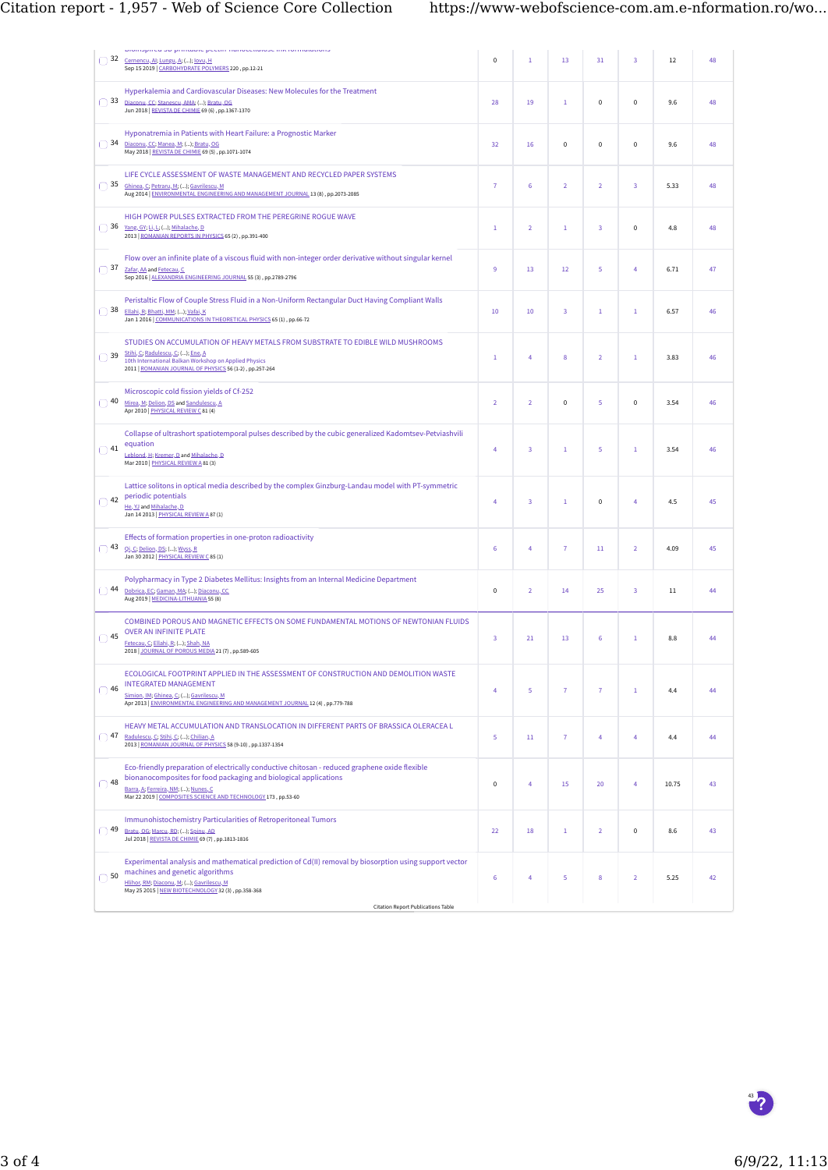| $\bigcirc$ 32           | promopired ou primable pecuminanocentriose iniviormatations<br>Cernencu, Al; Lungu, A; (); lovu, H<br>Sep 15 2019   CARBOHYDRATE POLYMERS 220, pp.12-21                                                                                                                                    |  | $\mathbf{1}$   | 13             | 31             | 3              | 12    | 48 |
|-------------------------|--------------------------------------------------------------------------------------------------------------------------------------------------------------------------------------------------------------------------------------------------------------------------------------------|--|----------------|----------------|----------------|----------------|-------|----|
| $\bigcap$ 33            | Hyperkalemia and Cardiovascular Diseases: New Molecules for the Treatment<br>Diaconu, CC; Stanescu, AMA; (); Bratu, OG<br>Jun 2018   REVISTA DE CHIMIE 69 (6), pp.1367-1370                                                                                                                |  | 19             | $\mathbf{1}$   | 0              | 0              | 9.6   | 48 |
| $\bigcap$ 34            | Hyponatremia in Patients with Heart Failure: a Prognostic Marker<br>Diaconu, CC; Manea, M; (); Bratu, OG<br>May 2018   REVISTA DE CHIMIE 69 (5), pp.1071-1074                                                                                                                              |  | 16             | $\pmb{0}$      | 0              | 0              | 9.6   | 48 |
| $\bigcap$ 35            | LIFE CYCLE ASSESSMENT OF WASTE MANAGEMENT AND RECYCLED PAPER SYSTEMS<br>Ghinea, C; Petraru, M; (); Gavrilescu, M<br>Aug 2014   ENVIRONMENTAL ENGINEERING AND MANAGEMENT JOURNAL 13 (8), pp.2073-2085                                                                                       |  | 6              | $\overline{2}$ | $\overline{2}$ | 3              | 5.33  | 48 |
| $\bigcirc$ 36           | HIGH POWER PULSES EXTRACTED FROM THE PEREGRINE ROGUE WAVE<br>Yang, GY; Li, L; (); Mihalache, D<br>2013   ROMANIAN REPORTS IN PHYSICS 65 (2), pp.391-400                                                                                                                                    |  | $\overline{2}$ | $1\,$          | 3              | 0              | 4.8   | 48 |
| $\bigcap$ 37            | Flow over an infinite plate of a viscous fluid with non-integer order derivative without singular kernel<br>Zafar, AA and Fetecau, C<br>Sep 2016   ALEXANDRIA ENGINEERING JOURNAL 55 (3), pp.2789-2796                                                                                     |  | 13             | 12             | 5              | 4              | 6.71  | 47 |
| $\bigcap$ 38            | Peristaltic Flow of Couple Stress Fluid in a Non-Uniform Rectangular Duct Having Compliant Walls<br>Ellahi, R; Bhatti, MM; (); Vafai, K<br>Jan 1 2016   COMMUNICATIONS IN THEORETICAL PHYSICS 65 (1), pp.66-72                                                                             |  | 10             | 3              | $\mathbf 1$    | $\mathbf{1}$   | 6.57  | 46 |
| $\overline{)}$ 39<br>ſ. | STUDIES ON ACCUMULATION OF HEAVY METALS FROM SUBSTRATE TO EDIBLE WILD MUSHROOMS<br>Stihi, C; Radulescu, C; (); Ene, A<br>10th International Balkan Workshop on Applied Physics<br>2011   ROMANIAN JOURNAL OF PHYSICS 56 (1-2), pp.257-264                                                  |  | 4              | 8              | $\overline{2}$ | $\mathbf{1}$   | 3.83  | 46 |
| $\bigcap$ 40            | Microscopic cold fission yields of Cf-252<br>Mirea, M; Delion, DS and Sandulescu, A<br>Apr 2010   PHYSICAL REVIEW C 81 (4)                                                                                                                                                                 |  | $\overline{2}$ | $\pmb{0}$      | 5              | $\pmb{0}$      | 3.54  | 46 |
| $\Box$ 41               | Collapse of ultrashort spatiotemporal pulses described by the cubic generalized Kadomtsev-Petviashvili<br>equation<br>Leblond, H; Kremer, D and Mihalache, D<br>Mar 2010   PHYSICAL REVIEW A 81 (3)                                                                                        |  | 3              | 1              | 5              | $\mathbf{1}$   | 3.54  | 46 |
| $\bigcap$ 42            | Lattice solitons in optical media described by the complex Ginzburg-Landau model with PT-symmetric<br>periodic potentials<br>He, YJ and Mihalache, D<br>Jan 14 2013   PHYSICAL REVIEW A 87 (1)                                                                                             |  | 3              | $\mathbf{1}$   | $\mathbf 0$    | 4              | 4.5   | 45 |
| $\overline{)}$ 43       | Effects of formation properties in one-proton radioactivity<br>Qi, C; Delion, DS; (); Wyss, R<br>Jan 30 2012   PHYSICAL REVIEW C 85 (1)                                                                                                                                                    |  | 4              | 7              | 11             | $\overline{2}$ | 4.09  | 45 |
| $\bigcap$ 44<br>C       | Polypharmacy in Type 2 Diabetes Mellitus: Insights from an Internal Medicine Department<br>Dobrica, EC; Gaman, MA; (); Diaconu, CC<br>Aug 2019   MEDICINA-LITHUANIA 55 (8)                                                                                                                 |  | $\overline{2}$ | 14             | 25             | 3              | 11    | 44 |
| $\bigcirc$ 45           | COMBINED POROUS AND MAGNETIC EFFECTS ON SOME FUNDAMENTAL MOTIONS OF NEWTONIAN FLUIDS<br><b>OVER AN INFINITE PLATE</b><br>Fetecau, C; Ellahi, R; (); Shah, NA<br>2018   JOURNAL OF POROUS MEDIA 21 (7), pp.589-605                                                                          |  | 21             | 13             | 6              | $\mathbf{1}$   | 8.8   | 44 |
| $\bigcap$ 46            | ECOLOGICAL FOOTPRINT APPLIED IN THE ASSESSMENT OF CONSTRUCTION AND DEMOLITION WASTE<br><b>INTEGRATED MANAGEMENT</b><br>Simion, IM; Ghinea, C; (); Gavrilescu, M<br>Apr 2013   ENVIRONMENTAL ENGINEERING AND MANAGEMENT JOURNAL 12 (4), pp.779-788                                          |  | 5              | $\overline{7}$ | 7              | $\mathbf{1}$   | 4.4   | 44 |
| $\bigcap$ 47            | HEAVY METAL ACCUMULATION AND TRANSLOCATION IN DIFFERENT PARTS OF BRASSICA OLERACEA L<br>Radulescu, C; Stihi, C; (); Chilian, A<br>2013   ROMANIAN JOURNAL OF PHYSICS 58 (9-10), pp.1337-1354                                                                                               |  | $11\,$         | $\overline{7}$ | 4              | 4              | 4.4   | 44 |
| $\bigcirc$ 48           | Eco-friendly preparation of electrically conductive chitosan - reduced graphene oxide flexible<br>bionanocomposites for food packaging and biological applications<br>Barra, A; Ferreira, NM; (); Nunes, C<br>Mar 22 2019   COMPOSITES SCIENCE AND TECHNOLOGY 173, pp.53-60                |  | 4              | 15             | 20             | 4              | 10.75 | 43 |
| $\bigcap$ 49            | Immunohistochemistry Particularities of Retroperitoneal Tumors<br>Bratu, OG; Marcu, RD; (); Spinu, AD<br>Jul 2018   REVISTA DE CHIMIE 69 (7), pp.1813-1816                                                                                                                                 |  | 18             | 1              | $\overline{2}$ | 0              | 8.6   | 43 |
| $\bigcirc$ 50           | Experimental analysis and mathematical prediction of Cd(II) removal by biosorption using support vector<br>machines and genetic algorithms<br>Hlihor, RM; Diaconu, M; (); Gavrilescu, M<br>May 25 2015   NEW BIOTECHNOLOGY 32 (3), pp.358-368<br><b>Citation Report Publications Table</b> |  | 4              | 5              | 8              | $\overline{2}$ | 5.25  | 42 |